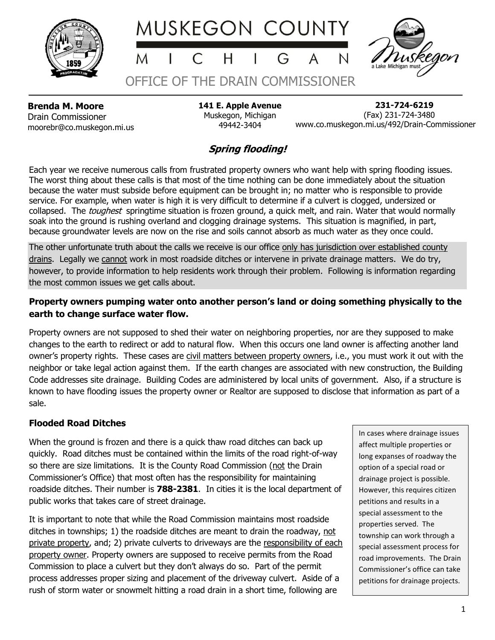





**Brenda M. Moore** Drain Commissioner moorebr@co.muskegon.mi.us **141 E. Apple Avenue** Muskegon, Michigan 49442-3404

OFFICE OF THE DRAIN COMMISSIONER

 **231-724-6219** (Fax) 231-724-3480 www.co.muskegon.mi.us/492/Drain-Commissioner

## **Spring flooding!**

Each year we receive numerous calls from frustrated property owners who want help with spring flooding issues. The worst thing about these calls is that most of the time nothing can be done immediately about the situation because the water must subside before equipment can be brought in; no matter who is responsible to provide service. For example, when water is high it is very difficult to determine if a culvert is clogged, undersized or collapsed. The *toughest* springtime situation is frozen ground, a quick melt, and rain. Water that would normally soak into the ground is rushing overland and clogging drainage systems. This situation is magnified, in part, because groundwater levels are now on the rise and soils cannot absorb as much water as they once could.

The other unfortunate truth about the calls we receive is our office only has jurisdiction over established county drains. Legally we cannot work in most roadside ditches or intervene in private drainage matters. We do try, however, to provide information to help residents work through their problem. Following is information regarding the most common issues we get calls about.

## **Property owners pumping water onto another person's land or doing something physically to the earth to change surface water flow.**

Property owners are not supposed to shed their water on neighboring properties, nor are they supposed to make changes to the earth to redirect or add to natural flow. When this occurs one land owner is affecting another land owner's property rights. These cases are civil matters between property owners, i.e., you must work it out with the neighbor or take legal action against them. If the earth changes are associated with new construction, the Building Code addresses site drainage. Building Codes are administered by local units of government. Also, if a structure is known to have flooding issues the property owner or Realtor are supposed to disclose that information as part of a sale.

## **Flooded Road Ditches**

When the ground is frozen and there is a quick thaw road ditches can back up quickly. Road ditches must be contained within the limits of the road right-of-way so there are size limitations. It is the County Road Commission (not the Drain Commissioner's Office) that most often has the responsibility for maintaining roadside ditches. Their number is **788-2381**. In cities it is the local department of public works that takes care of street drainage.

It is important to note that while the Road Commission maintains most roadside ditches in townships; 1) the roadside ditches are meant to drain the roadway, not private property, and; 2) private culverts to driveways are the responsibility of each property owner. Property owners are supposed to receive permits from the Road Commission to place a culvert but they don't always do so. Part of the permit process addresses proper sizing and placement of the driveway culvert. Aside of a rush of storm water or snowmelt hitting a road drain in a short time, following are

In cases where drainage issues affect multiple properties or long expanses of roadway the option of a special road or drainage project is possible. However, this requires citizen petitions and results in a special assessment to the properties served. The township can work through a special assessment process for road improvements. The Drain Commissioner's office can take petitions for drainage projects.